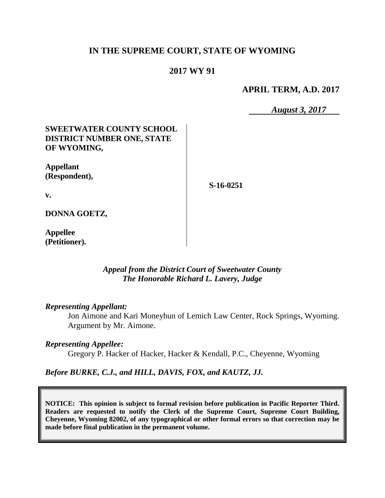## **IN THE SUPREME COURT, STATE OF WYOMING**

### **2017 WY 91**

**APRIL TERM, A.D. 2017**

*August 3, 2017*

## **SWEETWATER COUNTY SCHOOL DISTRICT NUMBER ONE, STATE OF WYOMING,**

**Appellant (Respondent),**

**S-16-0251**

**v.**

**DONNA GOETZ,**

**Appellee (Petitioner).**

#### *Appeal from the District Court of Sweetwater County The Honorable Richard L. Lavery, Judge*

#### *Representing Appellant:*

Jon Aimone and Kari Moneyhun of Lemich Law Center, Rock Springs, Wyoming. Argument by Mr. Aimone.

#### *Representing Appellee:*

Gregory P. Hacker of Hacker, Hacker & Kendall, P.C., Cheyenne, Wyoming

#### *Before BURKE, C.J., and HILL, DAVIS, FOX, and KAUTZ, JJ.*

**NOTICE: This opinion is subject to formal revision before publication in Pacific Reporter Third. Readers are requested to notify the Clerk of the Supreme Court, Supreme Court Building, Cheyenne, Wyoming 82002, of any typographical or other formal errors so that correction may be made before final publication in the permanent volume.**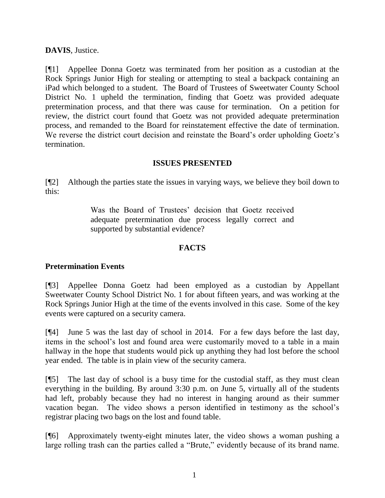# **DAVIS**, Justice.

[¶1] Appellee Donna Goetz was terminated from her position as a custodian at the Rock Springs Junior High for stealing or attempting to steal a backpack containing an iPad which belonged to a student. The Board of Trustees of Sweetwater County School District No. 1 upheld the termination, finding that Goetz was provided adequate pretermination process, and that there was cause for termination. On a petition for review, the district court found that Goetz was not provided adequate pretermination process, and remanded to the Board for reinstatement effective the date of termination. We reverse the district court decision and reinstate the Board's order upholding Goetz's termination.

# **ISSUES PRESENTED**

[¶2] Although the parties state the issues in varying ways, we believe they boil down to this:

> Was the Board of Trustees' decision that Goetz received adequate pretermination due process legally correct and supported by substantial evidence?

# **FACTS**

# **Pretermination Events**

[¶3] Appellee Donna Goetz had been employed as a custodian by Appellant Sweetwater County School District No. 1 for about fifteen years, and was working at the Rock Springs Junior High at the time of the events involved in this case. Some of the key events were captured on a security camera.

[¶4] June 5 was the last day of school in 2014. For a few days before the last day, items in the school's lost and found area were customarily moved to a table in a main hallway in the hope that students would pick up anything they had lost before the school year ended. The table is in plain view of the security camera.

[¶5] The last day of school is a busy time for the custodial staff, as they must clean everything in the building. By around 3:30 p.m. on June 5, virtually all of the students had left, probably because they had no interest in hanging around as their summer vacation began. The video shows a person identified in testimony as the school's registrar placing two bags on the lost and found table.

[¶6] Approximately twenty-eight minutes later, the video shows a woman pushing a large rolling trash can the parties called a "Brute," evidently because of its brand name.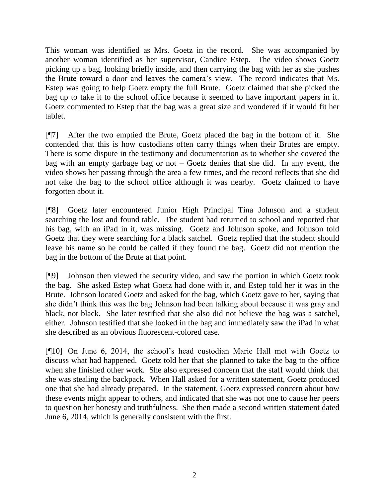This woman was identified as Mrs. Goetz in the record. She was accompanied by another woman identified as her supervisor, Candice Estep. The video shows Goetz picking up a bag, looking briefly inside, and then carrying the bag with her as she pushes the Brute toward a door and leaves the camera's view. The record indicates that Ms. Estep was going to help Goetz empty the full Brute. Goetz claimed that she picked the bag up to take it to the school office because it seemed to have important papers in it. Goetz commented to Estep that the bag was a great size and wondered if it would fit her tablet.

[¶7] After the two emptied the Brute, Goetz placed the bag in the bottom of it. She contended that this is how custodians often carry things when their Brutes are empty. There is some dispute in the testimony and documentation as to whether she covered the bag with an empty garbage bag or not – Goetz denies that she did. In any event, the video shows her passing through the area a few times, and the record reflects that she did not take the bag to the school office although it was nearby. Goetz claimed to have forgotten about it.

[¶8] Goetz later encountered Junior High Principal Tina Johnson and a student searching the lost and found table. The student had returned to school and reported that his bag, with an iPad in it, was missing. Goetz and Johnson spoke, and Johnson told Goetz that they were searching for a black satchel. Goetz replied that the student should leave his name so he could be called if they found the bag. Goetz did not mention the bag in the bottom of the Brute at that point.

[¶9] Johnson then viewed the security video, and saw the portion in which Goetz took the bag. She asked Estep what Goetz had done with it, and Estep told her it was in the Brute. Johnson located Goetz and asked for the bag, which Goetz gave to her, saying that she didn't think this was the bag Johnson had been talking about because it was gray and black, not black. She later testified that she also did not believe the bag was a satchel, either. Johnson testified that she looked in the bag and immediately saw the iPad in what she described as an obvious fluorescent-colored case.

[¶10] On June 6, 2014, the school's head custodian Marie Hall met with Goetz to discuss what had happened. Goetz told her that she planned to take the bag to the office when she finished other work. She also expressed concern that the staff would think that she was stealing the backpack. When Hall asked for a written statement, Goetz produced one that she had already prepared. In the statement, Goetz expressed concern about how these events might appear to others, and indicated that she was not one to cause her peers to question her honesty and truthfulness. She then made a second written statement dated June 6, 2014, which is generally consistent with the first.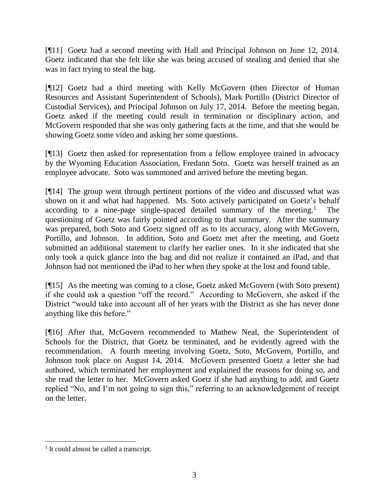[¶11] Goetz had a second meeting with Hall and Principal Johnson on June 12, 2014. Goetz indicated that she felt like she was being accused of stealing and denied that she was in fact trying to steal the bag.

[¶12] Goetz had a third meeting with Kelly McGovern (then Director of Human Resources and Assistant Superintendent of Schools), Mark Portillo (District Director of Custodial Services), and Principal Johnson on July 17, 2014. Before the meeting began, Goetz asked if the meeting could result in termination or disciplinary action, and McGovern responded that she was only gathering facts at the time, and that she would be showing Goetz some video and asking her some questions.

[¶13] Goetz then asked for representation from a fellow employee trained in advocacy by the Wyoming Education Association, Fredann Soto. Goetz was herself trained as an employee advocate. Soto was summoned and arrived before the meeting began.

[¶14] The group went through pertinent portions of the video and discussed what was shown on it and what had happened. Ms. Soto actively participated on Goetz's behalf according to a nine-page single-spaced detailed summary of the meeting.<sup>1</sup> The questioning of Goetz was fairly pointed according to that summary. After the summary was prepared, both Soto and Goetz signed off as to its accuracy, along with McGovern, Portillo, and Johnson. In addition, Soto and Goetz met after the meeting, and Goetz submitted an additional statement to clarify her earlier ones. In it she indicated that she only took a quick glance into the bag and did not realize it contained an iPad, and that Johnson had not mentioned the iPad to her when they spoke at the lost and found table.

[¶15] As the meeting was coming to a close, Goetz asked McGovern (with Soto present) if she could ask a question "off the record." According to McGovern, she asked if the District "would take into account all of her years with the District as she has never done anything like this before."

[¶16] After that, McGovern recommended to Mathew Neal, the Superintendent of Schools for the District, that Goetz be terminated, and he evidently agreed with the recommendation. A fourth meeting involving Goetz, Soto, McGovern, Portillo, and Johnson took place on August 14, 2014. McGovern presented Goetz a letter she had authored, which terminated her employment and explained the reasons for doing so, and she read the letter to her. McGovern asked Goetz if she had anything to add, and Goetz replied "No, and I'm not going to sign this," referring to an acknowledgement of receipt on the letter.

<sup>&</sup>lt;sup>1</sup> It could almost be called a transcript.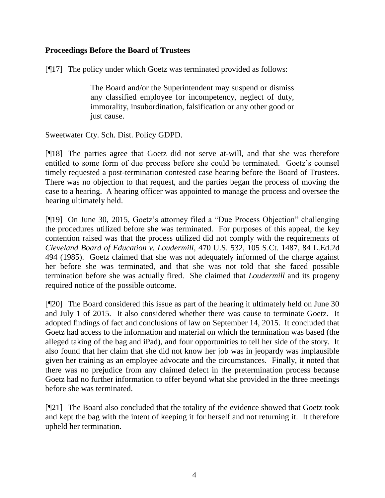## **Proceedings Before the Board of Trustees**

[¶17] The policy under which Goetz was terminated provided as follows:

The Board and/or the Superintendent may suspend or dismiss any classified employee for incompetency, neglect of duty, immorality, insubordination, falsification or any other good or just cause.

Sweetwater Cty. Sch. Dist. Policy GDPD.

[¶18] The parties agree that Goetz did not serve at-will, and that she was therefore entitled to some form of due process before she could be terminated. Goetz's counsel timely requested a post-termination contested case hearing before the Board of Trustees. There was no objection to that request, and the parties began the process of moving the case to a hearing. A hearing officer was appointed to manage the process and oversee the hearing ultimately held.

[¶19] On June 30, 2015, Goetz's attorney filed a "Due Process Objection" challenging the procedures utilized before she was terminated. For purposes of this appeal, the key contention raised was that the process utilized did not comply with the requirements of *Cleveland Board of Education v. Loudermill*, 470 U.S. 532, 105 S.Ct. 1487, 84 L.Ed.2d 494 (1985). Goetz claimed that she was not adequately informed of the charge against her before she was terminated, and that she was not told that she faced possible termination before she was actually fired. She claimed that *Loudermill* and its progeny required notice of the possible outcome.

[¶20] The Board considered this issue as part of the hearing it ultimately held on June 30 and July 1 of 2015. It also considered whether there was cause to terminate Goetz. It adopted findings of fact and conclusions of law on September 14, 2015. It concluded that Goetz had access to the information and material on which the termination was based (the alleged taking of the bag and iPad), and four opportunities to tell her side of the story. It also found that her claim that she did not know her job was in jeopardy was implausible given her training as an employee advocate and the circumstances. Finally, it noted that there was no prejudice from any claimed defect in the pretermination process because Goetz had no further information to offer beyond what she provided in the three meetings before she was terminated.

[¶21] The Board also concluded that the totality of the evidence showed that Goetz took and kept the bag with the intent of keeping it for herself and not returning it. It therefore upheld her termination.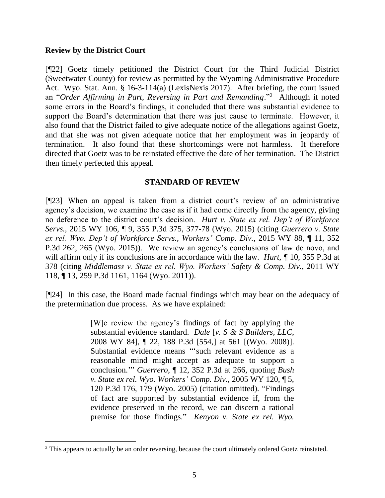#### **Review by the District Court**

[¶22] Goetz timely petitioned the District Court for the Third Judicial District (Sweetwater County) for review as permitted by the Wyoming Administrative Procedure Act. Wyo. Stat. Ann. § 16-3-114(a) (LexisNexis 2017). After briefing, the court issued an "*Order Affirming in Part, Reversing in Part and Remanding*."<sup>2</sup> Although it noted some errors in the Board's findings, it concluded that there was substantial evidence to support the Board's determination that there was just cause to terminate. However, it also found that the District failed to give adequate notice of the allegations against Goetz, and that she was not given adequate notice that her employment was in jeopardy of termination. It also found that these shortcomings were not harmless. It therefore directed that Goetz was to be reinstated effective the date of her termination. The District then timely perfected this appeal.

### **STANDARD OF REVIEW**

[¶23] When an appeal is taken from a district court's review of an administrative agency's decision, we examine the case as if it had come directly from the agency, giving no deference to the district court's decision. *Hurt v. State ex rel. Dep't of Workforce Servs.*, 2015 WY 106, ¶ 9, 355 P.3d 375, 377-78 (Wyo. 2015) (citing *Guerrero v. State ex rel. Wyo. Dep't of Workforce Servs., Workers' Comp. Div.,* 2015 WY 88, ¶ 11, 352 P.3d 262, 265 (Wyo. 2015)). We review an agency's conclusions of law de novo, and will affirm only if its conclusions are in accordance with the law. *Hurt*, *¶* 10, 355 P.3d at 378 (citing *Middlemass v. State ex rel. Wyo. Workers' Safety & Comp. Div.*, 2011 WY 118, ¶ 13, 259 P.3d 1161, 1164 (Wyo. 2011)).

[¶24] In this case, the Board made factual findings which may bear on the adequacy of the pretermination due process. As we have explained:

> [W]e review the agency's findings of fact by applying the substantial evidence standard. *Dale* [*v. S & S Builders, LLC*, 2008 WY 84], ¶ 22, 188 P.3d [554,] at 561 [(Wyo. 2008)]. Substantial evidence means "'such relevant evidence as a reasonable mind might accept as adequate to support a conclusion.'" *Guerrero*, ¶ 12, 352 P.3d at 266, quoting *Bush v. State ex rel. Wyo. Workers' Comp. Div.*, 2005 WY 120, ¶ 5, 120 P.3d 176, 179 (Wyo. 2005) (citation omitted). "Findings of fact are supported by substantial evidence if, from the evidence preserved in the record, we can discern a rational premise for those findings." *Kenyon v. State ex rel. Wyo.*

<sup>&</sup>lt;sup>2</sup> This appears to actually be an order reversing, because the court ultimately ordered Goetz reinstated.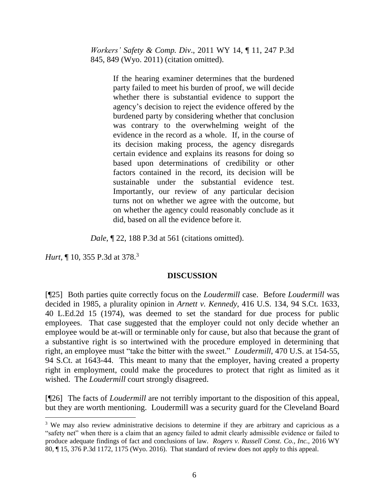*Workers' Safety & Comp. Div*., 2011 WY 14, ¶ 11, 247 P.3d 845, 849 (Wyo. 2011) (citation omitted).

> If the hearing examiner determines that the burdened party failed to meet his burden of proof, we will decide whether there is substantial evidence to support the agency's decision to reject the evidence offered by the burdened party by considering whether that conclusion was contrary to the overwhelming weight of the evidence in the record as a whole. If, in the course of its decision making process, the agency disregards certain evidence and explains its reasons for doing so based upon determinations of credibility or other factors contained in the record, its decision will be sustainable under the substantial evidence test. Importantly, our review of any particular decision turns not on whether we agree with the outcome, but on whether the agency could reasonably conclude as it did, based on all the evidence before it.

*Dale*, ¶ 22, 188 P.3d at 561 (citations omitted).

*Hurt*, ¶ 10, 355 P.3d at 378.<sup>3</sup>

# **DISCUSSION**

[¶25] Both parties quite correctly focus on the *Loudermill* case. Before *Loudermill* was decided in 1985, a plurality opinion in *Arnett v. Kennedy*, 416 U.S. 134, 94 S.Ct. 1633, 40 L.Ed.2d 15 (1974), was deemed to set the standard for due process for public employees. That case suggested that the employer could not only decide whether an employee would be at-will or terminable only for cause, but also that because the grant of a substantive right is so intertwined with the procedure employed in determining that right, an employee must "take the bitter with the sweet." *Loudermill*, 470 U.S. at 154-55, 94 S.Ct. at 1643-44. This meant to many that the employer, having created a property right in employment, could make the procedures to protect that right as limited as it wished. The *Loudermill* court strongly disagreed.

[¶26] The facts of *Loudermill* are not terribly important to the disposition of this appeal, but they are worth mentioning. Loudermill was a security guard for the Cleveland Board

<sup>&</sup>lt;sup>3</sup> We may also review administrative decisions to determine if they are arbitrary and capricious as a "safety net" when there is a claim that an agency failed to admit clearly admissible evidence or failed to produce adequate findings of fact and conclusions of law. *Rogers v. Russell Const. Co., Inc.,* 2016 WY 80, ¶ 15, 376 P.3d 1172, 1175 (Wyo. 2016). That standard of review does not apply to this appeal.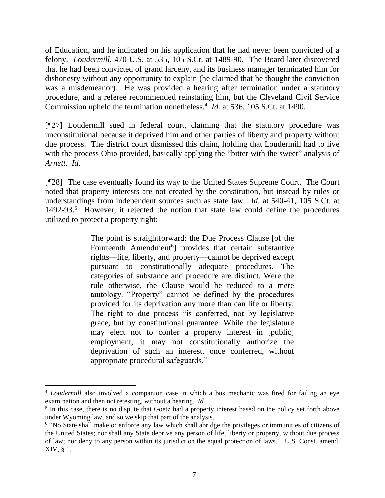of Education, and he indicated on his application that he had never been convicted of a felony. *Loudermill*, 470 U.S. at 535, 105 S.Ct. at 1489-90. The Board later discovered that he had been convicted of grand larceny, and its business manager terminated him for dishonesty without any opportunity to explain (he claimed that he thought the conviction was a misdemeanor). He was provided a hearing after termination under a statutory procedure, and a referee recommended reinstating him, but the Cleveland Civil Service Commission upheld the termination nonetheless.<sup>4</sup> *Id.* at 536, 105 S.Ct. at 1490.

[¶27] Loudermill sued in federal court, claiming that the statutory procedure was unconstitutional because it deprived him and other parties of liberty and property without due process. The district court dismissed this claim, holding that Loudermill had to live with the process Ohio provided, basically applying the "bitter with the sweet" analysis of *Arnett*. *Id.*

[¶28] The case eventually found its way to the United States Supreme Court. The Court noted that property interests are not created by the constitution, but instead by rules or understandings from independent sources such as state law. *Id*. at 540-41, 105 S.Ct. at 1492-93. <sup>5</sup> However, it rejected the notion that state law could define the procedures utilized to protect a property right:

> The point is straightforward: the Due Process Clause [of the Fourteenth Amendment<sup>6</sup>] provides that certain substantive rights—life, liberty, and property—cannot be deprived except pursuant to constitutionally adequate procedures. The categories of substance and procedure are distinct. Were the rule otherwise, the Clause would be reduced to a mere tautology. "Property" cannot be defined by the procedures provided for its deprivation any more than can life or liberty. The right to due process "is conferred, not by legislative grace, but by constitutional guarantee. While the legislature may elect not to confer a property interest in [public] employment, it may not constitutionally authorize the deprivation of such an interest, once conferred, without appropriate procedural safeguards."

<sup>4</sup> *Loudermill* also involved a companion case in which a bus mechanic was fired for failing an eye examination and then not retesting, without a hearing. *Id.*

<sup>&</sup>lt;sup>5</sup> In this case, there is no dispute that Goetz had a property interest based on the policy set forth above under Wyoming law, and so we skip that part of the analysis.

<sup>&</sup>lt;sup>6</sup> "No State shall make or enforce any law which shall abridge the privileges or immunities of citizens of the United States; nor shall any State deprive any person of life, liberty or property, without due process of law; nor deny to any person within its jurisdiction the equal protection of laws." U.S. Const. amend. XIV, § 1.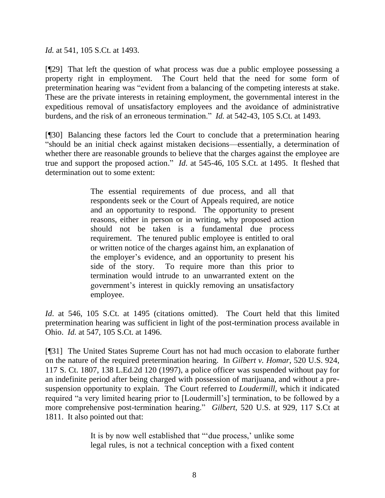*Id.* at 541, 105 S.Ct. at 1493.

[¶29] That left the question of what process was due a public employee possessing a property right in employment. The Court held that the need for some form of pretermination hearing was "evident from a balancing of the competing interests at stake. These are the private interests in retaining employment, the governmental interest in the expeditious removal of unsatisfactory employees and the avoidance of administrative burdens, and the risk of an erroneous termination." *Id.* at 542-43, 105 S.Ct. at 1493.

[¶30] Balancing these factors led the Court to conclude that a pretermination hearing "should be an initial check against mistaken decisions—essentially, a determination of whether there are reasonable grounds to believe that the charges against the employee are true and support the proposed action." *Id*. at 545-46, 105 S.Ct. at 1495. It fleshed that determination out to some extent:

> The essential requirements of due process, and all that respondents seek or the Court of Appeals required, are notice and an opportunity to respond. The opportunity to present reasons, either in person or in writing, why proposed action should not be taken is a fundamental due process requirement. The tenured public employee is entitled to oral or written notice of the charges against him, an explanation of the employer's evidence, and an opportunity to present his side of the story. To require more than this prior to termination would intrude to an unwarranted extent on the government's interest in quickly removing an unsatisfactory employee.

*Id*. at 546, 105 S.Ct. at 1495 (citations omitted). The Court held that this limited pretermination hearing was sufficient in light of the post-termination process available in Ohio. *Id.* at 547, 105 S.Ct. at 1496.

[¶31] The United States Supreme Court has not had much occasion to elaborate further on the nature of the required pretermination hearing. In *Gilbert v. Homar*, 520 U.S. 924, 117 S. Ct. 1807, 138 L.Ed.2d 120 (1997), a police officer was suspended without pay for an indefinite period after being charged with possession of marijuana, and without a presuspension opportunity to explain. The Court referred to *Loudermill*, which it indicated required "a very limited hearing prior to [Loudermill's] termination, to be followed by a more comprehensive post-termination hearing." *Gilbert*, 520 U.S. at 929, 117 S.Ct at 1811. It also pointed out that:

> It is by now well established that "'due process,' unlike some legal rules, is not a technical conception with a fixed content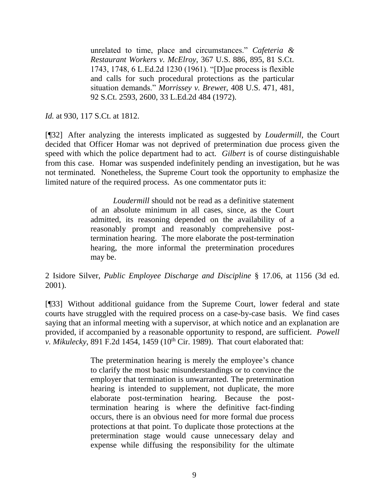unrelated to time, place and circumstances." *Cafeteria & Restaurant Workers v. McElroy*, 367 U.S. 886, 895, 81 S.Ct. 1743, 1748, 6 L.Ed.2d 1230 (1961). "[D]ue process is flexible and calls for such procedural protections as the particular situation demands." *Morrissey v. Brewe*r, 408 U.S. 471, 481, 92 S.Ct. 2593, 2600, 33 L.Ed.2d 484 (1972).

*Id.* at 930, 117 S.Ct. at 1812.

[¶32] After analyzing the interests implicated as suggested by *Loudermill*, the Court decided that Officer Homar was not deprived of pretermination due process given the speed with which the police department had to act. *Gilbert* is of course distinguishable from this case. Homar was suspended indefinitely pending an investigation, but he was not terminated. Nonetheless, the Supreme Court took the opportunity to emphasize the limited nature of the required process. As one commentator puts it:

> *Loudermill* should not be read as a definitive statement of an absolute minimum in all cases, since, as the Court admitted, its reasoning depended on the availability of a reasonably prompt and reasonably comprehensive posttermination hearing. The more elaborate the post-termination hearing, the more informal the pretermination procedures may be.

2 Isidore Silver, *Public Employee Discharge and Discipline* § 17.06, at 1156 (3d ed. 2001).

[¶33] Without additional guidance from the Supreme Court, lower federal and state courts have struggled with the required process on a case-by-case basis. We find cases saying that an informal meeting with a supervisor, at which notice and an explanation are provided, if accompanied by a reasonable opportunity to respond, are sufficient. *Powell v. Mikulecky*, 891 F.2d 1454, 1459 (10<sup>th</sup> Cir. 1989). That court elaborated that:

> The pretermination hearing is merely the employee's chance to clarify the most basic misunderstandings or to convince the employer that termination is unwarranted. The pretermination hearing is intended to supplement, not duplicate, the more elaborate post-termination hearing. Because the posttermination hearing is where the definitive fact-finding occurs, there is an obvious need for more formal due process protections at that point. To duplicate those protections at the pretermination stage would cause unnecessary delay and expense while diffusing the responsibility for the ultimate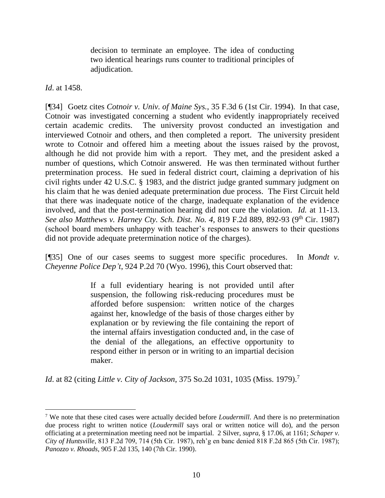decision to terminate an employee. The idea of conducting two identical hearings runs counter to traditional principles of adjudication.

*Id*. at 1458.

[¶34] Goetz cites *Cotnoir v. Univ. of Maine Sys.*, 35 F.3d 6 (1st Cir. 1994). In that case, Cotnoir was investigated concerning a student who evidently inappropriately received certain academic credits. The university provost conducted an investigation and interviewed Cotnoir and others, and then completed a report. The university president wrote to Cotnoir and offered him a meeting about the issues raised by the provost, although he did not provide him with a report. They met, and the president asked a number of questions, which Cotnoir answered. He was then terminated without further pretermination process. He sued in federal district court, claiming a deprivation of his civil rights under 42 U.S.C. § 1983, and the district judge granted summary judgment on his claim that he was denied adequate pretermination due process. The First Circuit held that there was inadequate notice of the charge, inadequate explanation of the evidence involved, and that the post-termination hearing did not cure the violation. *Id.* at 11-13. *See also Matthews v. Harney Cty. Sch. Dist. No. 4,* 819 F.2d 889, 892-93 (9th Cir. 1987) (school board members unhappy with teacher's responses to answers to their questions did not provide adequate pretermination notice of the charges).

[¶35] One of our cases seems to suggest more specific procedures. In *Mondt v. Cheyenne Police Dep't*, 924 P.2d 70 (Wyo. 1996), this Court observed that:

> If a full evidentiary hearing is not provided until after suspension, the following risk-reducing procedures must be afforded before suspension: written notice of the charges against her, knowledge of the basis of those charges either by explanation or by reviewing the file containing the report of the internal affairs investigation conducted and, in the case of the denial of the allegations, an effective opportunity to respond either in person or in writing to an impartial decision maker.

*Id*. at 82 (citing *Little v. City of Jackson*, 375 So.2d 1031, 1035 (Miss. 1979). 7

<sup>7</sup> We note that these cited cases were actually decided before *Loudermill*. And there is no pretermination due process right to written notice (*Loudermill* says oral or written notice will do), and the person officiating at a pretermination meeting need not be impartial. 2 Silver, *supra*, § 17.06, at 1161; *Schaper v. City of Huntsville*, 813 F.2d 709, 714 (5th Cir. 1987), reh'g en banc denied 818 F.2d 865 (5th Cir. 1987); *Panozzo v. Rhoads*, 905 F.2d 135, 140 (7th Cir. 1990).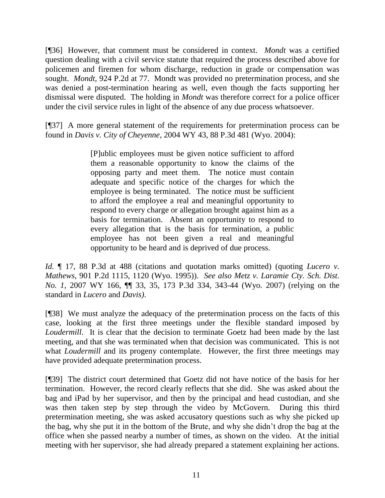[¶36] However, that comment must be considered in context. *Mondt* was a certified question dealing with a civil service statute that required the process described above for policemen and firemen for whom discharge, reduction in grade or compensation was sought. *Mondt,* 924 P.2d at 77. Mondt was provided no pretermination process, and she was denied a post-termination hearing as well, even though the facts supporting her dismissal were disputed. The holding in *Mondt* was therefore correct for a police officer under the civil service rules in light of the absence of any due process whatsoever.

[¶37] A more general statement of the requirements for pretermination process can be found in *Davis v. City of Cheyenne*, 2004 WY 43, 88 P.3d 481 (Wyo. 2004):

> [P]ublic employees must be given notice sufficient to afford them a reasonable opportunity to know the claims of the opposing party and meet them. The notice must contain adequate and specific notice of the charges for which the employee is being terminated. The notice must be sufficient to afford the employee a real and meaningful opportunity to respond to every charge or allegation brought against him as a basis for termination. Absent an opportunity to respond to every allegation that is the basis for termination, a public employee has not been given a real and meaningful opportunity to be heard and is deprived of due process.

*Id.* ¶ 17, 88 P.3d at 488 (citations and quotation marks omitted) (quoting *Lucero v. Mathews*, 901 P.2d 1115, 1120 (Wyo. 1995)). *See also Metz v. Laramie Cty. Sch. Dist. No. 1*, 2007 WY 166, ¶¶ 33, 35, 173 P.3d 334, 343-44 (Wyo. 2007) (relying on the standard in *Lucero* and *Davis)*.

[¶38] We must analyze the adequacy of the pretermination process on the facts of this case, looking at the first three meetings under the flexible standard imposed by *Loudermill*. It is clear that the decision to terminate Goetz had been made by the last meeting, and that she was terminated when that decision was communicated. This is not what *Loudermill* and its progeny contemplate. However, the first three meetings may have provided adequate pretermination process.

[¶39] The district court determined that Goetz did not have notice of the basis for her termination. However, the record clearly reflects that she did. She was asked about the bag and iPad by her supervisor, and then by the principal and head custodian, and she was then taken step by step through the video by McGovern. During this third pretermination meeting, she was asked accusatory questions such as why she picked up the bag, why she put it in the bottom of the Brute, and why she didn't drop the bag at the office when she passed nearby a number of times, as shown on the video. At the initial meeting with her supervisor, she had already prepared a statement explaining her actions.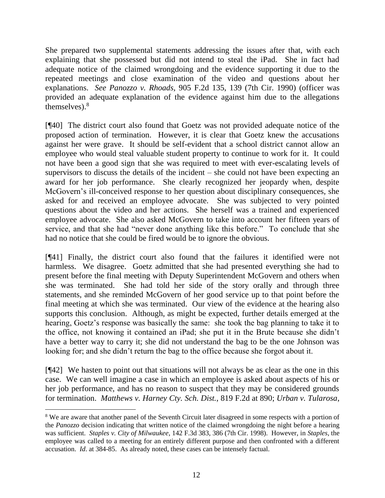She prepared two supplemental statements addressing the issues after that, with each explaining that she possessed but did not intend to steal the iPad. She in fact had adequate notice of the claimed wrongdoing and the evidence supporting it due to the repeated meetings and close examination of the video and questions about her explanations. *See Panozzo v. Rhoads,* 905 F.2d 135, 139 (7th Cir. 1990) (officer was provided an adequate explanation of the evidence against him due to the allegations themselves). $8$ 

[¶40] The district court also found that Goetz was not provided adequate notice of the proposed action of termination. However, it is clear that Goetz knew the accusations against her were grave. It should be self-evident that a school district cannot allow an employee who would steal valuable student property to continue to work for it. It could not have been a good sign that she was required to meet with ever-escalating levels of supervisors to discuss the details of the incident – she could not have been expecting an award for her job performance. She clearly recognized her jeopardy when, despite McGovern's ill-conceived response to her question about disciplinary consequences, she asked for and received an employee advocate. She was subjected to very pointed questions about the video and her actions. She herself was a trained and experienced employee advocate. She also asked McGovern to take into account her fifteen years of service, and that she had "never done anything like this before." To conclude that she had no notice that she could be fired would be to ignore the obvious.

[¶41] Finally, the district court also found that the failures it identified were not harmless. We disagree. Goetz admitted that she had presented everything she had to present before the final meeting with Deputy Superintendent McGovern and others when she was terminated. She had told her side of the story orally and through three statements, and she reminded McGovern of her good service up to that point before the final meeting at which she was terminated. Our view of the evidence at the hearing also supports this conclusion. Although, as might be expected, further details emerged at the hearing, Goetz's response was basically the same: she took the bag planning to take it to the office, not knowing it contained an iPad; she put it in the Brute because she didn't have a better way to carry it; she did not understand the bag to be the one Johnson was looking for; and she didn't return the bag to the office because she forgot about it.

[¶42] We hasten to point out that situations will not always be as clear as the one in this case. We can well imagine a case in which an employee is asked about aspects of his or her job performance, and has no reason to suspect that they may be considered grounds for termination. *Matthews v. Harney Cty. Sch. Dist.*, 819 F.2d at 890; *Urban v. Tularosa*,

<sup>&</sup>lt;sup>8</sup> We are aware that another panel of the Seventh Circuit later disagreed in some respects with a portion of the *Panozzo* decision indicating that written notice of the claimed wrongdoing the night before a hearing was sufficient. *Staples v. City of Milwaukee*, 142 F.3d 383, 386 (7th Cir. 1998). However, in *Staples*, the employee was called to a meeting for an entirely different purpose and then confronted with a different accusation. *Id*. at 384-85. As already noted, these cases can be intensely factual.